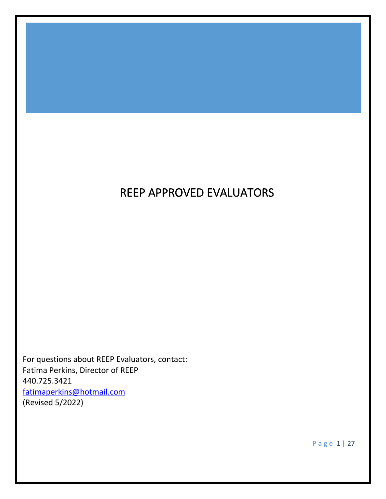# REEP APPROVED EVALUATORS

For questions about REEP Evaluators, contact: Fatima Perkins, Director of REEP 440.725.3421 [fatimaperkins@hotmail.com](mailto:fatimaperkins@hotmail.com) (Revised 5/2022)

P a g e 1 | 27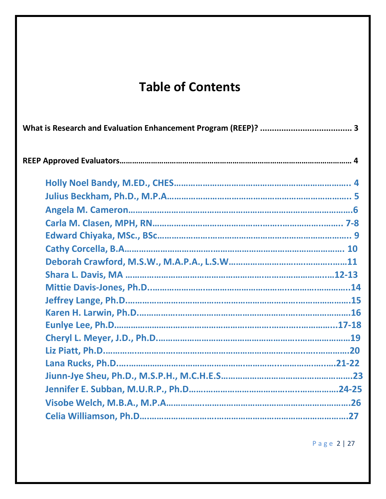# **Table of Contents**

P a g e 2 | 27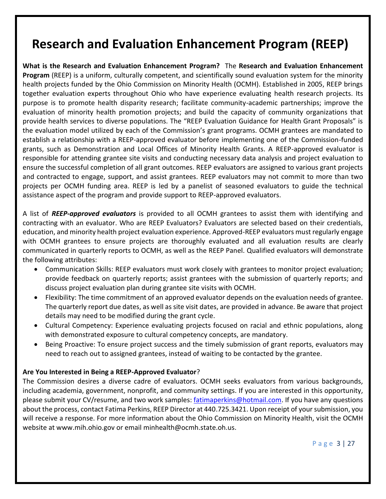# **Research and Evaluation Enhancement Program (REEP)**

**What is the Research and Evaluation Enhancement Program?** The **Research and Evaluation Enhancement Program** (REEP) is a uniform, culturally competent, and scientifically sound evaluation system for the minority health projects funded by the Ohio Commission on Minority Health (OCMH). Established in 2005, REEP brings together evaluation experts throughout Ohio who have experience evaluating health research projects. Its purpose is to promote health disparity research; facilitate community-academic partnerships; improve the evaluation of minority health promotion projects; and build the capacity of community organizations that provide health services to diverse populations. The "REEP Evaluation Guidance for Health Grant Proposals" is the evaluation model utilized by each of the Commission's grant programs. OCMH grantees are mandated to establish a relationship with a REEP-approved evaluator before implementing one of the Commission-funded grants, such as Demonstration and Local Offices of Minority Health Grants. A REEP-approved evaluator is responsible for attending grantee site visits and conducting necessary data analysis and project evaluation to ensure the successful completion of all grant outcomes. REEP evaluators are assigned to various grant projects and contracted to engage, support, and assist grantees. REEP evaluators may not commit to more than two projects per OCMH funding area. REEP is led by a panelist of seasoned evaluators to guide the technical assistance aspect of the program and provide support to REEP-approved evaluators.

A list of *REEP-approved evaluators* is provided to all OCMH grantees to assist them with identifying and contracting with an evaluator. Who are REEP Evaluators? Evaluators are selected based on their credentials, education, and minority health project evaluation experience. Approved-REEP evaluators must regularly engage with OCMH grantees to ensure projects are thoroughly evaluated and all evaluation results are clearly communicated in quarterly reports to OCMH, as well as the REEP Panel. Qualified evaluators will demonstrate the following attributes:

- Communication Skills: REEP evaluators must work closely with grantees to monitor project evaluation; provide feedback on quarterly reports; assist grantees with the submission of quarterly reports; and discuss project evaluation plan during grantee site visits with OCMH.
- Flexibility: The time commitment of an approved evaluator depends on the evaluation needs of grantee. The quarterly report due dates, as well as site visit dates, are provided in advance. Be aware that project details may need to be modified during the grant cycle.
- Cultural Competency: Experience evaluating projects focused on racial and ethnic populations, along with demonstrated exposure to cultural competency concepts, are mandatory.
- Being Proactive: To ensure project success and the timely submission of grant reports, evaluators may need to reach out to assigned grantees, instead of waiting to be contacted by the grantee.

## **Are You Interested in Being a REEP-Approved Evaluator**?

The Commission desires a diverse cadre of evaluators. OCMH seeks evaluators from various backgrounds, including academia, government, nonprofit, and community settings. If you are interested in this opportunity, please submit your CV/resume, and two work samples: **fatimaperkins@hotmail.com.** If you have any questions about the process, contact Fatima Perkins, REEP Director at 440.725.3421. Upon receipt of your submission, you will receive a response. For more information about the Ohio Commission on Minority Health, visit the OCMH website at www.mih.ohio.gov or email minhealth@ocmh.state.oh.us.

P a g e 3 | 27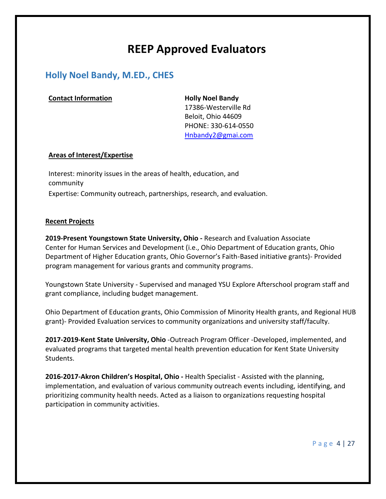# **REEP Approved Evaluators**

## **Holly Noel Bandy, M.ED., CHES**

### **Contact Information Holly Noel Bandy**

17386-Westerville Rd Beloit, Ohio 44609 PHONE: 330-614-0550 [Hnbandy2@gmai.com](mailto:Hnbandy2@gmai.com)

### **Areas of Interest/Expertise**

Interest: minority issues in the areas of health, education, and community Expertise: Community outreach, partnerships, research, and evaluation.

### **Recent Projects**

**2019-Present Youngstown State University, Ohio -** Research and Evaluation Associate Center for Human Services and Development (i.e., Ohio Department of Education grants, Ohio Department of Higher Education grants, Ohio Governor's Faith-Based initiative grants)- Provided program management for various grants and community programs.

Youngstown State University - Supervised and managed YSU Explore Afterschool program staff and grant compliance, including budget management.

Ohio Department of Education grants, Ohio Commission of Minority Health grants, and Regional HUB grant)- Provided Evaluation services to community organizations and university staff/faculty.

**2017-2019-Kent State University, Ohio** -Outreach Program Officer -Developed, implemented, and evaluated programs that targeted mental health prevention education for Kent State University Students.

**2016-2017-Akron Children's Hospital, Ohio -** Health Specialist - Assisted with the planning, implementation, and evaluation of various community outreach events including, identifying, and prioritizing community health needs. Acted as a liaison to organizations requesting hospital participation in community activities.

P a g e 4 | 27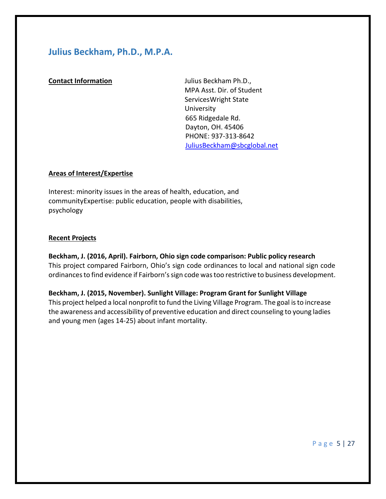## **Julius Beckham, Ph.D., M.P.A.**

**Contact Information** Julius Beckham Ph.D., MPA Asst. Dir. of Student ServicesWright State University 665 Ridgedale Rd. Dayton, OH. 45406 PHONE: 937-313-8642 [JuliusBeckham@sbcglobal.net](mailto:JuliusBeckham@sbcglobal.net)

## **Areas of Interest/Expertise**

Interest: minority issues in the areas of health, education, and communityExpertise: public education, people with disabilities, psychology

#### **Recent Projects**

**Beckham, J. (2016, April). Fairborn, Ohio sign code comparison: Public policy research** This project compared Fairborn, Ohio's sign code ordinances to local and national sign code ordinances to find evidence if Fairborn's sign code was too restrictive to business development.

**Beckham, J. (2015, November). Sunlight Village: Program Grant for Sunlight Village** This project helped a local nonprofit to fund the Living Village Program. The goal is to increase the awareness and accessibility of preventive education and direct counseling to young ladies and young men (ages 14-25) about infant mortality.

P a g e 5 | 27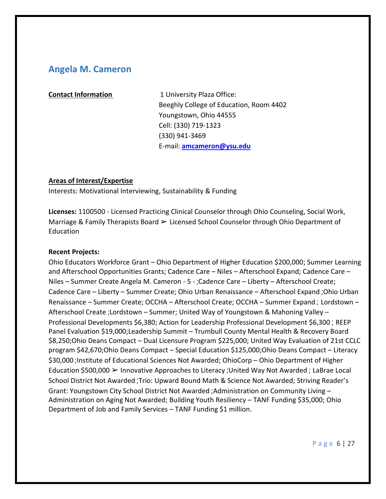## **Angela M. Cameron**

**Contact Information 1 University Plaza Office:** Beeghly College of Education, Room 4402 Youngstown, Ohio 44555 Cell: (330) 719-1323 (330) 941-3469 E-mail: **[amcameron@ysu.edu](mailto:amcameron@ysu.edu)**

### **Areas of Interest/Expertise**

Interests: Motivational Interviewing, Sustainability & Funding

**Licenses:** 1100500 - Licensed Practicing Clinical Counselor through Ohio Counseling, Social Work, Marriage & Family Therapists Board  $\triangleright$  Licensed School Counselor through Ohio Department of Education

### **Recent Projects:**

Ohio Educators Workforce Grant – Ohio Department of Higher Education \$200,000; Summer Learning and Afterschool Opportunities Grants; Cadence Care – Niles – Afterschool Expand; Cadence Care – Niles – Summer Create Angela M. Cameron - 5 - ;Cadence Care – Liberty – Afterschool Create; Cadence Care – Liberty – Summer Create; Ohio Urban Renaissance – Afterschool Expand ;Ohio Urban Renaissance – Summer Create; OCCHA – Afterschool Create; OCCHA – Summer Expand ; Lordstown – Afterschool Create ;Lordstown – Summer; United Way of Youngstown & Mahoning Valley – Professional Developments \$6,380; Action for Leadership Professional Development \$6,300 ; REEP Panel Evaluation \$19,000;Leadership Summit – Trumbull County Mental Health & Recovery Board \$8,250;Ohio Deans Compact – Dual Licensure Program \$225,000; United Way Evaluation of 21st CCLC program \$42,670;Ohio Deans Compact – Special Education \$125,000;Ohio Deans Compact – Literacy \$30,000 ;Institute of Educational Sciences Not Awarded; OhioCorp – Ohio Department of Higher Education \$500,000 ➢ Innovative Approaches to Literacy ;United Way Not Awarded ; LaBrae Local School District Not Awarded ;Trio: Upward Bound Math & Science Not Awarded; Striving Reader's Grant: Youngstown City School District Not Awarded ;Administration on Community Living – Administration on Aging Not Awarded; Building Youth Resiliency – TANF Funding \$35,000; Ohio Department of Job and Family Services – TANF Funding \$1 million.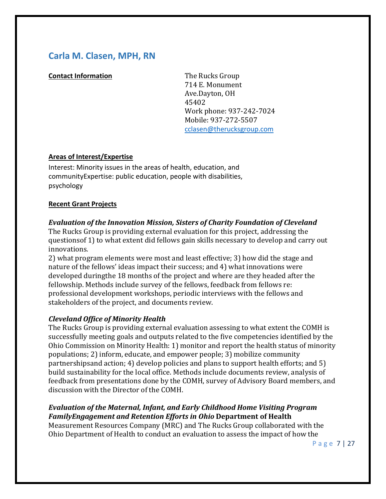## **Carla M. Clasen, MPH, RN**

## **Contact Information** The Rucks Group

714 E. Monument Ave.Dayton, OH 45402 Work phone: 937-242-7024 Mobile: 937-272-5507 [cclasen@therucksgroup.com](mailto:cclasen@therucksgroup.com)

## **Areas of Interest/Expertise**

Interest: Minority issues in the areas of health, education, and communityExpertise: public education, people with disabilities, psychology

## **Recent Grant Projects**

## *Evaluation of the Innovation Mission, Sisters of Charity Foundation of Cleveland*

The Rucks Group is providing external evaluation for this project, addressing the questionsof 1) to what extent did fellows gain skills necessary to develop and carry out innovations.

2) what program elements were most and least effective; 3) how did the stage and nature of the fellows' ideas impact their success; and 4) what innovations were developed duringthe 18 months of the project and where are they headed after the fellowship. Methods include survey of the fellows, feedback from fellows re: professional development workshops, periodic interviews with the fellows and stakeholders of the project, and documents review.

## *Cleveland Office of Minority Health*

The Rucks Group is providing external evaluation assessing to what extent the COMH is successfully meeting goals and outputs related to the five competencies identified by the Ohio Commission on Minority Health: 1) monitor and report the health status of minority populations; 2) inform, educate, and empower people; 3) mobilize community partnershipsand action; 4) develop policies and plans to support health efforts; and 5) build sustainability for the local office. Methods include documents review, analysis of feedback from presentations done by the COMH, survey of Advisory Board members, and discussion with the Director of the COMH.

## *Evaluation of the Maternal, Infant, and Early Childhood Home Visiting Program FamilyEngagement and Retention Efforts in Ohio* **Department of Health**

Measurement Resources Company (MRC) and The Rucks Group collaborated with the Ohio Department of Health to conduct an evaluation to assess the impact of how the

P a g e 7 | 27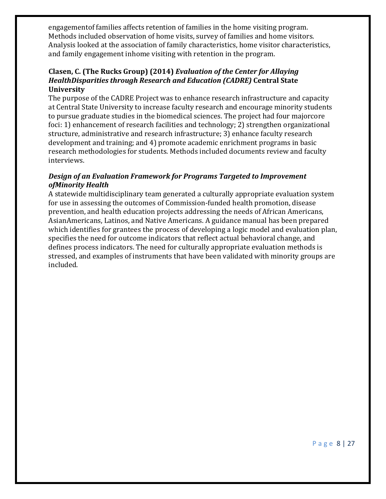engagementof families affects retention of families in the home visiting program. Methods included observation of home visits, survey of families and home visitors. Analysis looked at the association of family characteristics, home visitor characteristics, and family engagement inhome visiting with retention in the program.

## **Clasen, C. (The Rucks Group) (2014)** *Evaluation of the Center for Allaying HealthDisparities through Research and Education (CADRE)* **Central State University**

The purpose of the CADRE Project was to enhance research infrastructure and capacity at Central State University to increase faculty research and encourage minority students to pursue graduate studies in the biomedical sciences. The project had four majorcore foci: 1) enhancement of research facilities and technology; 2) strengthen organizational structure, administrative and research infrastructure; 3) enhance faculty research development and training; and 4) promote academic enrichment programs in basic research methodologies for students. Methods included documents review and faculty interviews.

## *Design of an Evaluation Framework for Programs Targeted to Improvement ofMinority Health*

A statewide multidisciplinary team generated a culturally appropriate evaluation system for use in assessing the outcomes of Commission-funded health promotion, disease prevention, and health education projects addressing the needs of African Americans, AsianAmericans, Latinos, and Native Americans. A guidance manual has been prepared which identifies for grantees the process of developing a logic model and evaluation plan, specifies the need for outcome indicators that reflect actual behavioral change, and defines process indicators. The need for culturally appropriate evaluation methods is stressed, and examples of instruments that have been validated with minority groups are included.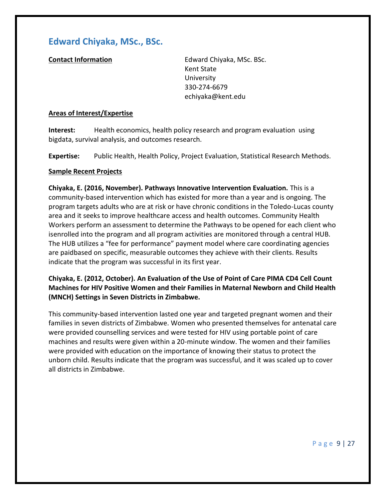## **Edward Chiyaka, MSc., BSc.**

**Contact Information** Edward Chiyaka, MSc. BSc. Kent State University 330-274-6679 [echiyaka@kent.edu](mailto:echiyaka@kent.edu)

### **Areas of Interest/Expertise**

**Interest:** Health economics, health policy research and program evaluation using bigdata, survival analysis, and outcomes research.

**Expertise:** Public Health, Health Policy, Project Evaluation, Statistical Research Methods.

### **Sample Recent Projects**

**Chiyaka, E. (2016, November). Pathways Innovative Intervention Evaluation.** This is a community-based intervention which has existed for more than a year and is ongoing. The program targets adults who are at risk or have chronic conditions in the Toledo-Lucas county area and it seeks to improve healthcare access and health outcomes. Community Health Workers perform an assessment to determine the Pathways to be opened for each client who isenrolled into the program and all program activities are monitored through a central HUB. The HUB utilizes a "fee for performance" payment model where care coordinating agencies are paidbased on specific, measurable outcomes they achieve with their clients. Results indicate that the program was successful in its first year.

**Chiyaka, E. (2012, October). An Evaluation of the Use of Point of Care PIMA CD4 Cell Count Machines for HIV Positive Women and their Families in Maternal Newborn and Child Health (MNCH) Settings in Seven Districts in Zimbabwe.**

This community-based intervention lasted one year and targeted pregnant women and their families in seven districts of Zimbabwe. Women who presented themselves for antenatal care were provided counselling services and were tested for HIV using portable point of care machines and results were given within a 20-minute window. The women and their families were provided with education on the importance of knowing their status to protect the unborn child. Results indicate that the program was successful, and it was scaled up to cover all districts in Zimbabwe.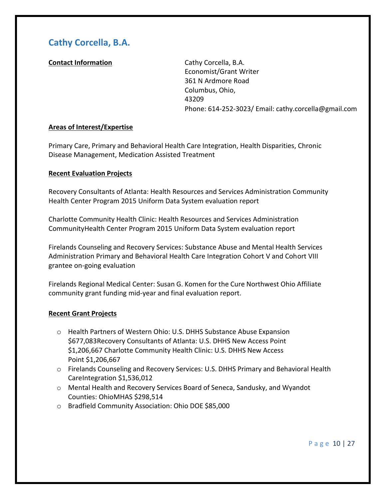## **Cathy Corcella, B.A.**

## **Contact Information** Cathy Corcella, B.A.

Economist/Grant Writer 361 N Ardmore Road Columbus, Ohio, 43209 Phone: 614-252-3023/ Email: [cathy.corcella@gmail.com](mailto:cathy.corcella@gmail.com)

## **Areas of Interest/Expertise**

Primary Care, Primary and Behavioral Health Care Integration, Health Disparities, Chronic Disease Management, Medication Assisted Treatment

## **Recent Evaluation Projects**

Recovery Consultants of Atlanta: Health Resources and Services Administration Community Health Center Program 2015 Uniform Data System evaluation report

Charlotte Community Health Clinic: Health Resources and Services Administration CommunityHealth Center Program 2015 Uniform Data System evaluation report

Firelands Counseling and Recovery Services: Substance Abuse and Mental Health Services Administration Primary and Behavioral Health Care Integration Cohort V and Cohort VIII grantee on-going evaluation

Firelands Regional Medical Center: Susan G. Komen for the Cure Northwest Ohio Affiliate community grant funding mid-year and final evaluation report.

## **Recent Grant Projects**

- o Health Partners of Western Ohio: U.S. DHHS Substance Abuse Expansion \$677,083Recovery Consultants of Atlanta: U.S. DHHS New Access Point \$1,206,667 Charlotte Community Health Clinic: U.S. DHHS New Access Point \$1,206,667
- o Firelands Counseling and Recovery Services: U.S. DHHS Primary and Behavioral Health CareIntegration \$1,536,012
- o Mental Health and Recovery Services Board of Seneca, Sandusky, and Wyandot Counties: OhioMHAS \$298,514
- o Bradfield Community Association: Ohio DOE \$85,000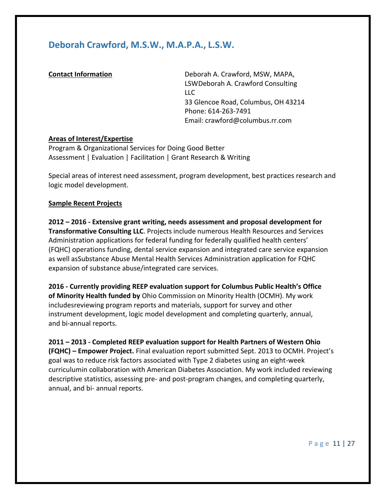## **Deborah Crawford, M.S.W., M.A.P.A., L.S.W.**

**Contact Information Deborah A. Crawford, MSW, MAPA,** LSWDeborah A. Crawford Consulting LLC 33 Glencoe Road, Columbus, OH 43214 Phone: 614-263-7491 Email: [crawford@columbus.rr.com](mailto:crawford@columbus.rr.com)

## **Areas of Interest/Expertise**

Program & Organizational Services for Doing Good Better Assessment | Evaluation | Facilitation | Grant Research & Writing

Special areas of interest need assessment, program development, best practices research and logic model development.

#### **Sample Recent Projects**

**2012 – 2016 - Extensive grant writing, needs assessment and proposal development for Transformative Consulting LLC**. Projects include numerous Health Resources and Services Administration applications for federal funding for federally qualified health centers' (FQHC) operations funding, dental service expansion and integrated care service expansion as well asSubstance Abuse Mental Health Services Administration application for FQHC expansion of substance abuse/integrated care services.

**2016 - Currently providing REEP evaluation support for Columbus Public Health's Office of Minority Health funded by** Ohio Commission on Minority Health (OCMH). My work includesreviewing program reports and materials, support for survey and other instrument development, logic model development and completing quarterly, annual, and bi-annual reports.

**2011 – 2013 - Completed REEP evaluation support for Health Partners of Western Ohio (FQHC) – Empower Project.** Final evaluation report submitted Sept. 2013 to OCMH. Project's goal was to reduce risk factors associated with Type 2 diabetes using an eight-week curriculumin collaboration with American Diabetes Association. My work included reviewing descriptive statistics, assessing pre- and post-program changes, and completing quarterly, annual, and bi- annual reports.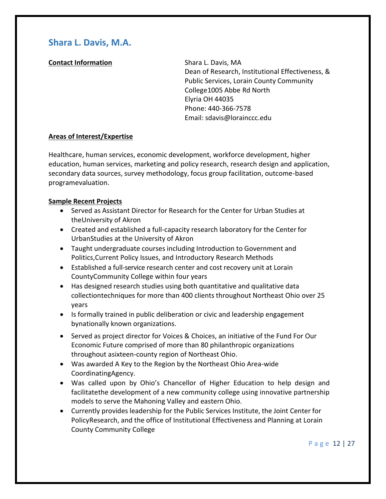## **Shara L. Davis, M.A.**

## **Contact Information** Shara L. Davis, MA

Dean of Research, Institutional Effectiveness, & Public Services, Lorain County Community College1005 Abbe Rd North Elyria OH 44035 Phone: 440-366-7578 Email: [sdavis@lorainccc.edu](mailto:sdavis@lorainccc.edu)

## **Areas of Interest/Expertise**

Healthcare, human services, economic development, workforce development, higher education, human services, marketing and policy research, research design and application, secondary data sources, survey methodology, focus group facilitation, outcome-based programevaluation.

## **Sample Recent Projects**

- Served as Assistant Director for Research for the Center for Urban Studies at theUniversity of Akron
- Created and established a full-capacity research laboratory for the Center for UrbanStudies at the University of Akron
- Taught undergraduate courses including Introduction to Government and Politics,Current Policy Issues, and Introductory Research Methods
- Established a full-service research center and cost recovery unit at Lorain CountyCommunity College within four years
- Has designed research studies using both quantitative and qualitative data collectiontechniques for more than 400 clients throughout Northeast Ohio over 25 years
- Is formally trained in public deliberation or civic and leadership engagement bynationally known organizations.
- Served as project director for Voices & Choices, an initiative of the Fund For Our Economic Future comprised of more than 80 philanthropic organizations throughout asixteen-county region of Northeast Ohio.
- Was awarded A Key to the Region by the Northeast Ohio Area-wide CoordinatingAgency.
- Was called upon by Ohio's Chancellor of Higher Education to help design and facilitatethe development of a new community college using innovative partnership models to serve the Mahoning Valley and eastern Ohio.
- Currently provides leadership for the Public Services Institute, the Joint Center for PolicyResearch, and the office of Institutional Effectiveness and Planning at Lorain County Community College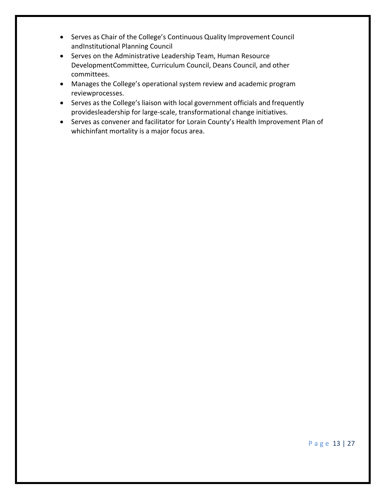- Serves as Chair of the College's Continuous Quality Improvement Council andInstitutional Planning Council
- Serves on the Administrative Leadership Team, Human Resource DevelopmentCommittee, Curriculum Council, Deans Council, and other committees.
- Manages the College's operational system review and academic program reviewprocesses.
- Serves as the College's liaison with local government officials and frequently providesleadership for large-scale, transformational change initiatives.
- Serves as convener and facilitator for Lorain County's Health Improvement Plan of whichinfant mortality is a major focus area.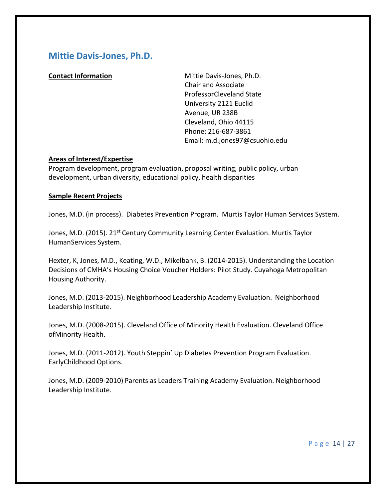## **Mittie Davis-Jones, Ph.D.**

**Contact Information** Mittie Davis-Jones, Ph.D. Chair and Associate ProfessorCleveland State University 2121 Euclid Avenue, UR 238B Cleveland, Ohio 44115 Phone: 216-687-3861 Email: [m.d.jones97@csuohio.edu](mailto:m.d.jones97@csuohio.edu)

### **Areas of Interest/Expertise**

Program development, program evaluation, proposal writing, public policy, urban development, urban diversity, educational policy, health disparities

### **Sample Recent Projects**

Jones, M.D. (in process). Diabetes Prevention Program. Murtis Taylor Human Services System.

Jones, M.D. (2015). 21<sup>st</sup> Century Community Learning Center Evaluation. Murtis Taylor HumanServices System.

Hexter, K, Jones, M.D., Keating, W.D., Mikelbank, B. (2014-2015). Understanding the Location Decisions of CMHA's Housing Choice Voucher Holders: Pilot Study. Cuyahoga Metropolitan Housing Authority.

Jones, M.D. (2013-2015). Neighborhood Leadership Academy Evaluation. Neighborhood Leadership Institute.

Jones, M.D. (2008-2015). Cleveland Office of Minority Health Evaluation. Cleveland Office ofMinority Health.

Jones, M.D. (2011-2012). Youth Steppin' Up Diabetes Prevention Program Evaluation. EarlyChildhood Options.

Jones, M.D. (2009-2010) Parents as Leaders Training Academy Evaluation. Neighborhood Leadership Institute.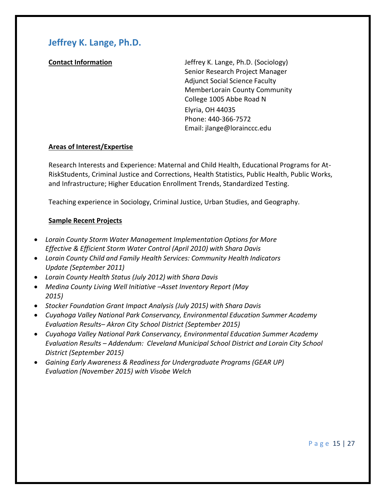## **Jeffrey K. Lange, Ph.D.**

**Contact Information** Jeffrey K. Lange, Ph.D. (Sociology) Senior Research Project Manager Adjunct Social Science Faculty MemberLorain County Community College 1005 Abbe Road N Elyria, OH 44035 Phone: 440-366-7572 Email: [jlange@lorainccc.edu](mailto:jlange@lorainccc.edu)

## **Areas of Interest/Expertise**

Research Interests and Experience: Maternal and Child Health, Educational Programs for At-RiskStudents, Criminal Justice and Corrections, Health Statistics, Public Health, Public Works, and Infrastructure; Higher Education Enrollment Trends, Standardized Testing.

Teaching experience in Sociology, Criminal Justice, Urban Studies, and Geography.

## **Sample Recent Projects**

- *Lorain County Storm Water Management Implementation Options for More Effective & Efficient Storm Water Control (April 2010) with Shara Davis*
- *Lorain County Child and Family Health Services: Community Health Indicators Update (September 2011)*
- *Lorain County Health Status (July 2012) with Shara Davis*
- *Medina County Living Well Initiative –Asset Inventory Report (May 2015)*
- *Stocker Foundation Grant Impact Analysis (July 2015) with Shara Davis*
- *Cuyahoga Valley National Park Conservancy, Environmental Education Summer Academy Evaluation Results– Akron City School District (September 2015)*
- *Cuyahoga Valley National Park Conservancy, Environmental Education Summer Academy Evaluation Results – Addendum: Cleveland Municipal School District and Lorain City School District (September 2015)*
- *Gaining Early Awareness & Readiness for Undergraduate Programs (GEAR UP) Evaluation (November 2015) with Visobe Welch*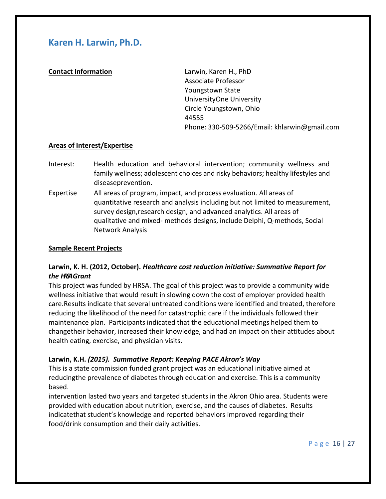## **Karen H. Larwin, Ph.D.**

**Contact Information** Larwin, Karen H., PhD Associate Professor Youngstown State UniversityOne University Circle Youngstown, Ohio 44555 Phone: 330-509-5266/Email: [khlarwin@gmail.com](mailto:khlarwin@gmail.com)

## **Areas of Interest/Expertise**

- Interest: Health education and behavioral intervention; community wellness and family wellness; adolescent choices and risky behaviors; healthy lifestyles and diseaseprevention.
- Expertise All areas of program, impact, and process evaluation. All areas of quantitative research and analysis including but not limited to measurement, survey design,research design, and advanced analytics. All areas of qualitative and mixed- methods designs, include Delphi, Q-methods, Social Network Analysis

### **Sample Recent Projects**

## **Larwin, K. H. (2012, October).** *Healthcare cost reduction initiative: Summative Report for the HRSAGrant*

This project was funded by HRSA. The goal of this project was to provide a community wide wellness initiative that would result in slowing down the cost of employer provided health care.Results indicate that several untreated conditions were identified and treated, therefore reducing the likelihood of the need for catastrophic care if the individuals followed their maintenance plan. Participants indicated that the educational meetings helped them to changetheir behavior, increased their knowledge, and had an impact on their attitudes about health eating, exercise, and physician visits.

## **Larwin, K.H.** *(2015). Summative Report: Keeping PACE Akron's Way*

This is a state commission funded grant project was an educational initiative aimed at reducingthe prevalence of diabetes through education and exercise. This is a community based.

intervention lasted two years and targeted students in the Akron Ohio area. Students were provided with education about nutrition, exercise, and the causes of diabetes. Results indicatethat student's knowledge and reported behaviors improved regarding their food/drink consumption and their daily activities.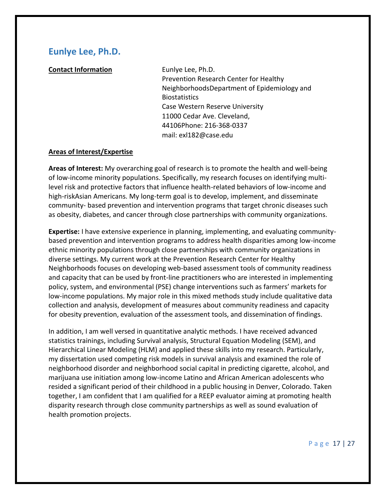## **Eunlye Lee, Ph.D.**

**Contact Information** Eunlye Lee, Ph.D.

Prevention Research Center for Healthy NeighborhoodsDepartment of Epidemiology and Biostatistics Case Western Reserve University 11000 Cedar Ave. Cleveland, 44106Phone: 216-368-0337 mail: [exl182@case.edu](mailto:exl182@case.edu)

### **Areas of Interest/Expertise**

**Areas of Interest:** My overarching goal of research is to promote the health and well-being of low-income minority populations. Specifically, my research focuses on identifying multilevel risk and protective factors that influence health-related behaviors of low-income and high-riskAsian Americans. My long-term goal is to develop, implement, and disseminate community- based prevention and intervention programs that target chronic diseases such as obesity, diabetes, and cancer through close partnerships with community organizations.

**Expertise:** I have extensive experience in planning, implementing, and evaluating communitybased prevention and intervention programs to address health disparities among low-income ethnic minority populations through close partnerships with community organizations in diverse settings. My current work at the Prevention Research Center for Healthy Neighborhoods focuses on developing web-based assessment tools of community readiness and capacity that can be used by front-line practitioners who are interested in implementing policy, system, and environmental (PSE) change interventions such as farmers' markets for low-income populations. My major role in this mixed methods study include qualitative data collection and analysis, development of measures about community readiness and capacity for obesity prevention, evaluation of the assessment tools, and dissemination of findings.

In addition, I am well versed in quantitative analytic methods. I have received advanced statistics trainings, including Survival analysis, Structural Equation Modeling (SEM), and Hierarchical Linear Modeling (HLM) and applied these skills into my research. Particularly, my dissertation used competing risk models in survival analysis and examined the role of neighborhood disorder and neighborhood social capital in predicting cigarette, alcohol, and marijuana use initiation among low-income Latino and African American adolescents who resided a significant period of their childhood in a public housing in Denver, Colorado. Taken together, I am confident that I am qualified for a REEP evaluator aiming at promoting health disparity research through close community partnerships as well as sound evaluation of health promotion projects.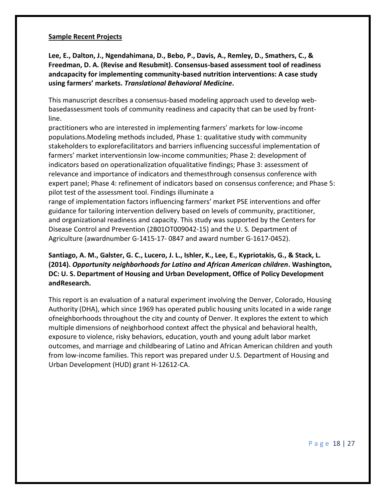#### **Sample Recent Projects**

**Lee, E., Dalton, J., Ngendahimana, D., Bebo, P., Davis, A., Remley, D., Smathers, C., & Freedman, D. A. (Revise and Resubmit). Consensus-based assessment tool of readiness andcapacity for implementing community-based nutrition interventions: A case study using farmers' markets.** *Translational Behavioral Medicine***.**

This manuscript describes a consensus-based modeling approach used to develop webbasedassessment tools of community readiness and capacity that can be used by frontline.

practitioners who are interested in implementing farmers' markets for low-income populations.Modeling methods included, Phase 1: qualitative study with community stakeholders to explorefacilitators and barriers influencing successful implementation of farmers' market interventionsin low-income communities; Phase 2: development of indicators based on operationalization ofqualitative findings; Phase 3: assessment of relevance and importance of indicators and themesthrough consensus conference with expert panel; Phase 4: refinement of indicators based on consensus conference; and Phase 5: pilot test of the assessment tool. Findings illuminate a

range of implementation factors influencing farmers' market PSE interventions and offer guidance for tailoring intervention delivery based on levels of community, practitioner, and organizational readiness and capacity. This study was supported by the Centers for Disease Control and Prevention (2B01OT009042-15) and the U. S. Department of Agriculture (awardnumber G-1415-17- 0847 and award number G-1617-0452).

## **Santiago, A. M., Galster, G. C., Lucero, J. L., Ishler, K., Lee, E., Kypriotakis, G., & Stack, L. (2014).** *Opportunity neighborhoods for Latino and African American children***. Washington, DC: U. S. Department of Housing and Urban Development, Office of Policy Development andResearch.**

This report is an evaluation of a natural experiment involving the Denver, Colorado, Housing Authority (DHA), which since 1969 has operated public housing units located in a wide range ofneighborhoods throughout the city and county of Denver. It explores the extent to which multiple dimensions of neighborhood context affect the physical and behavioral health, exposure to violence, risky behaviors, education, youth and young adult labor market outcomes, and marriage and childbearing of Latino and African American children and youth from low-income families. This report was prepared under U.S. Department of Housing and Urban Development (HUD) grant H-12612-CA.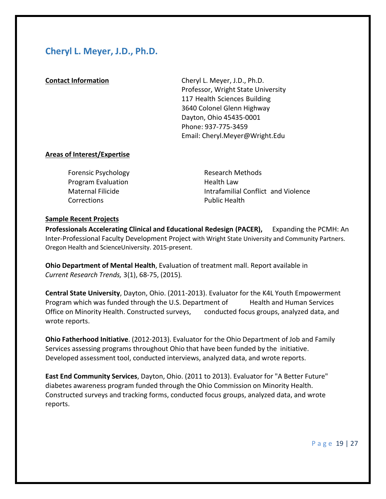## **Cheryl L. Meyer, J.D., Ph.D.**

**Contact Information** Cheryl L. Meyer, J.D., Ph.D. Professor, Wright State University 117 Health Sciences Building 3640 Colonel Glenn Highway Dayton, Ohio 45435-0001 Phone: 937-775-3459 Email: [Cheryl.Meyer@Wright.Edu](mailto:Cheryl.Meyer@Wright.Edu)

## **Areas of Interest/Expertise**

| <b>Forensic Psychology</b> | Research Methods                    |
|----------------------------|-------------------------------------|
| <b>Program Evaluation</b>  | Health Law                          |
| Maternal Filicide          | Intrafamilial Conflict and Violence |
| Corrections                | <b>Public Health</b>                |

### **Sample Recent Projects**

**Professionals Accelerating Clinical and Educational Redesign (PACER),** Expanding the PCMH: An Inter-Professional Faculty Development Project with Wright State University and Community Partners. Oregon Health and ScienceUniversity. 2015-present.

**Ohio Department of Mental Health**, Evaluation of treatment mall. Report available in  *Current Research Trends,* 3(1), 68-75, (2015)*.*

**Central State University**, Dayton, Ohio. (2011-2013). Evaluator for the K4L Youth Empowerment Program which was funded through the U.S. Department of Health and Human Services Office on Minority Health. Constructed surveys, conducted focus groups, analyzed data, and wrote reports.

**Ohio Fatherhood Initiative**. (2012-2013). Evaluator for the Ohio Department of Job and Family Services assessing programs throughout Ohio that have been funded by the initiative. Developed assessment tool, conducted interviews, analyzed data, and wrote reports.

**East End Community Services**, Dayton, Ohio. (2011 to 2013). Evaluator for "A Better Future" diabetes awareness program funded through the Ohio Commission on Minority Health. Constructed surveys and tracking forms, conducted focus groups, analyzed data, and wrote reports.

P a g e 19 | 27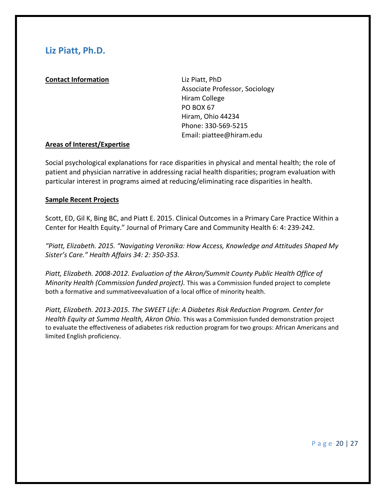## **Liz Piatt, Ph.D.**

## **Contact Information** Liz Piatt, PhD

Associate Professor, Sociology Hiram College PO BOX 67 Hiram, Ohio 44234 Phone: 330-569-5215 Email: [piattee@hiram.edu](mailto:piattee@hiram.edu)

## **Areas of Interest/Expertise**

Social psychological explanations for race disparities in physical and mental health; the role of patient and physician narrative in addressing racial health disparities; program evaluation with particular interest in programs aimed at reducing/eliminating race disparities in health.

## **Sample Recent Projects**

Scott, ED, Gil K, Bing BC, and Piatt E. 2015. Clinical Outcomes in a Primary Care Practice Within a Center for Health Equity." Journal of Primary Care and Community Health 6: 4: 239-242.

*"Piatt, Elizabeth. 2015. "Navigating Veronika: How Access, Knowledge and Attitudes Shaped My Sister's Care." Health Affairs 34: 2: 350-353.*

*Piatt, Elizabeth. 2008-2012. Evaluation of the Akron/Summit County Public Health Office of Minority Health (Commission funded project).* This was a Commission funded project to complete both a formative and summativeevaluation of a local office of minority health.

*Piatt, Elizabeth. 2013-2015. The SWEET Life: A Diabetes Risk Reduction Program. Center for Health Equity at Summa Health, Akron Ohio.* This was a Commission funded demonstration project to evaluate the effectiveness of adiabetes risk reduction program for two groups: African Americans and limited English proficiency.

P a g e 20 | 27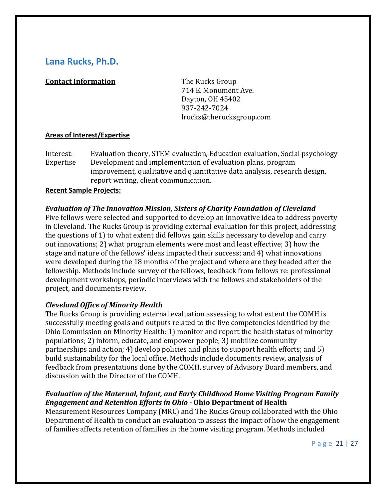## **Lana Rucks, Ph.D.**

## **Contact Information** The Rucks Group

714 E. Monument Ave. Dayton, OH 45402 937-242-7024 [lrucks@therucksgroup.com](mailto:lrucks@therucksgroup.com)

## **Areas of Interest/Expertise**

Interest: Evaluation theory, STEM evaluation, Education evaluation, Social psychology Expertise Development and implementation of evaluation plans, program improvement, qualitative and quantitative data analysis, research design, report writing, client communication.

## **Recent Sample Projects:**

## *Evaluation of The Innovation Mission, Sisters of Charity Foundation of Cleveland*

Five fellows were selected and supported to develop an innovative idea to address poverty in Cleveland. The Rucks Group is providing external evaluation for this project, addressing the questions of 1) to what extent did fellows gain skills necessary to develop and carry out innovations; 2) what program elements were most and least effective; 3) how the stage and nature of the fellows' ideas impacted their success; and 4) what innovations were developed during the 18 months of the project and where are they headed after the fellowship. Methods include survey of the fellows, feedback from fellows re: professional development workshops, periodic interviews with the fellows and stakeholders of the project, and documents review.

## *Cleveland Office of Minority Health*

The Rucks Group is providing external evaluation assessing to what extent the COMH is successfully meeting goals and outputs related to the five competencies identified by the Ohio Commission on Minority Health: 1) monitor and report the health status of minority populations; 2) inform, educate, and empower people; 3) mobilize community partnerships and action; 4) develop policies and plans to support health efforts; and 5) build sustainability for the local office. Methods include documents review, analysis of feedback from presentations done by the COMH, survey of Advisory Board members, and discussion with the Director of the COMH.

## *Evaluation of the Maternal, Infant, and Early Childhood Home Visiting Program Family Engagement and Retention Efforts in Ohio -* **Ohio Department of Health**

Measurement Resources Company (MRC) and The Rucks Group collaborated with the Ohio Department of Health to conduct an evaluation to assess the impact of how the engagement of families affects retention of families in the home visiting program. Methods included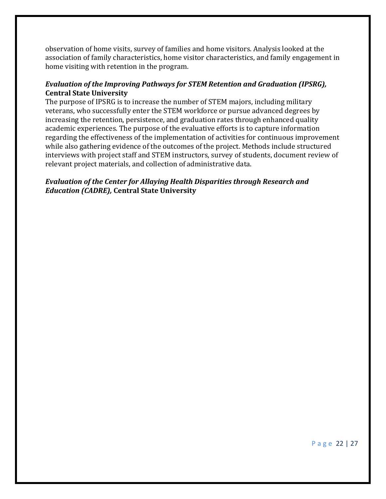observation of home visits, survey of families and home visitors. Analysis looked at the association of family characteristics, home visitor characteristics, and family engagement in home visiting with retention in the program.

## *Evaluation of the Improving Pathways for STEM Retention and Graduation (IPSRG),* **Central State University**

The purpose of IPSRG is to increase the number of STEM majors, including military veterans, who successfully enter the STEM workforce or pursue advanced degrees by increasing the retention, persistence, and graduation rates through enhanced quality academic experiences. The purpose of the evaluative efforts is to capture information regarding the effectiveness of the implementation of activities for continuous improvement while also gathering evidence of the outcomes of the project. Methods include structured interviews with project staff and STEM instructors, survey of students, document review of relevant project materials, and collection of administrative data.

## *Evaluation of the Center for Allaying Health Disparities through Research and Education (CADRE),* **Central State University**

P a g e 22 | 27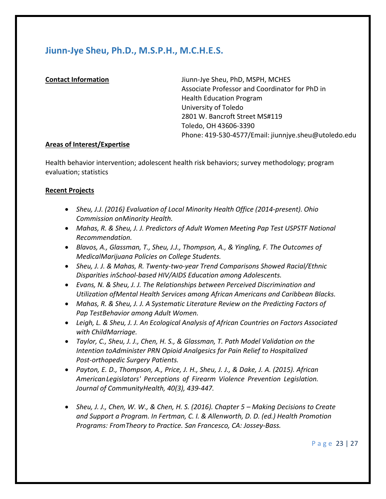## **Jiunn-Jye Sheu, Ph.D., M.S.P.H., M.C.H.E.S.**

**Contact Information** Jiunn-Jye Sheu, PhD, MSPH, MCHES Associate Professor and Coordinator for PhD in Health Education Program University of Toledo 2801 W. Bancroft Street MS#119 Toledo, OH 43606-3390 Phone: 419-530-4577/Email: [jiunnjye.sheu@utoledo.edu](mailto:jiunnjye.sheu@utoledo.edu)

## **Areas of Interest/Expertise**

Health behavior intervention; adolescent health risk behaviors; survey methodology; program evaluation; statistics

## **Recent Projects**

- *Sheu, J.J. (2016) Evaluation of Local Minority Health Office (2014-present). Ohio Commission onMinority Health.*
- *Mahas, R. & Sheu, J. J. Predictors of Adult Women Meeting Pap Test USPSTF National Recommendation.*
- *Blavos, A., Glassman, T., Sheu, J.J., Thompson, A., & Yingling, F. The Outcomes of MedicalMarijuana Policies on College Students.*
- *Sheu, J. J. & Mahas, R. Twenty-two-year Trend Comparisons Showed Racial/Ethnic Disparities inSchool-based HIV/AIDS Education among Adolescents.*
- *Evans, N. & Sheu, J. J. The Relationships between Perceived Discrimination and Utilization ofMental Health Services among African Americans and Caribbean Blacks.*
- *Mahas, R. & Sheu, J. J. A Systematic Literature Review on the Predicting Factors of Pap TestBehavior among Adult Women.*
- *Leigh, L. & Sheu, J. J. An Ecological Analysis of African Countries on Factors Associated with ChildMarriage.*
- *Taylor, C., Sheu, J. J., Chen, H. S., & Glassman, T. Path Model Validation on the Intention toAdminister PRN Opioid Analgesics for Pain Relief to Hospitalized Post-orthopedic Surgery Patients.*
- *Payton, E. D., Thompson, A., Price, J. H., Sheu, J. J., & Dake, J. A. (2015). African AmericanLegislators' Perceptions of Firearm Violence Prevention Legislation. Journal of CommunityHealth, 40(3), 439-447.*
- Sheu, J. J., Chen, W. W., & Chen, H. S. (2016). Chapter 5 Making Decisions to Create *and Support a Program. In Fertman, C. I. & Allenworth, D. D. (ed.) Health Promotion Programs: FromTheory to Practice. San Francesco, CA: Jossey-Bass.*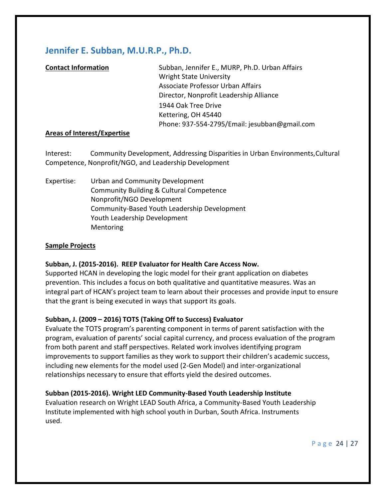## **Jennifer E. Subban, M.U.R.P., Ph.D.**

| <b>Contact Information</b>  | Subban, Jennifer E., MURP, Ph.D. Urban Affairs |
|-----------------------------|------------------------------------------------|
|                             | <b>Wright State University</b>                 |
|                             | Associate Professor Urban Affairs              |
|                             | Director, Nonprofit Leadership Alliance        |
|                             | 1944 Oak Tree Drive                            |
|                             | Kettering, OH 45440                            |
|                             | Phone: 937-554-2795/Email: jesubban@gmail.com  |
| Arose of Interact/Evnertice |                                                |

## **Areas of Interest/Expertise**

Interest: Community Development, Addressing Disparities in Urban Environments,Cultural Competence, Nonprofit/NGO, and Leadership Development

Expertise: Urban and Community Development Community Building & Cultural Competence Nonprofit/NGO Development Community-Based Youth Leadership Development Youth Leadership Development Mentoring

### **Sample Projects**

## **Subban, J. (2015-2016). REEP Evaluator for Health Care Access Now.**

Supported HCAN in developing the logic model for their grant application on diabetes prevention. This includes a focus on both qualitative and quantitative measures. Was an integral part of HCAN's project team to learn about their processes and provide input to ensure that the grant is being executed in ways that support its goals.

## **Subban, J. (2009 – 2016) TOTS (Taking Off to Success) Evaluator**

Evaluate the TOTS program's parenting component in terms of parent satisfaction with the program, evaluation of parents' social capital currency, and process evaluation of the program from both parent and staff perspectives. Related work involves identifying program improvements to support families as they work to support their children's academic success, including new elements for the model used (2-Gen Model) and inter-organizational relationships necessary to ensure that efforts yield the desired outcomes.

## **Subban (2015-2016). Wright LED Community-Based Youth Leadership Institute**

Evaluation research on Wright LEAD South Africa, a Community-Based Youth Leadership Institute implemented with high school youth in Durban, South Africa. Instruments used.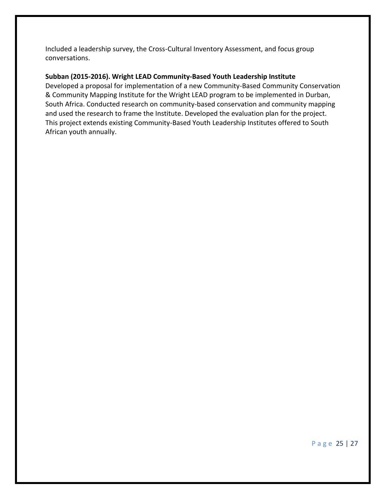Included a leadership survey, the Cross-Cultural Inventory Assessment, and focus group conversations.

## **Subban (2015-2016). Wright LEAD Community-Based Youth Leadership Institute**

Developed a proposal for implementation of a new Community-Based Community Conservation & Community Mapping Institute for the Wright LEAD program to be implemented in Durban, South Africa. Conducted research on community-based conservation and community mapping and used the research to frame the Institute. Developed the evaluation plan for the project. This project extends existing Community-Based Youth Leadership Institutes offered to South African youth annually.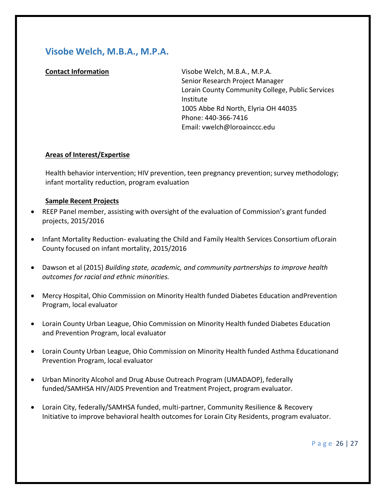## **Visobe Welch, M.B.A., M.P.A.**

**Contact Information** Visobe Welch, M.B.A., M.P.A. Senior Research Project Manager Lorain County Community College, Public Services Institute 1005 Abbe Rd North, Elyria OH 44035 Phone: 440-366-7416 Email: [vwelch@loroainccc.edu](mailto:vwelch@loroainccc.edu)

## **Areas of Interest/Expertise**

Health behavior intervention; HIV prevention, teen pregnancy prevention; survey methodology; infant mortality reduction, program evaluation

## **Sample Recent Projects**

- REEP Panel member, assisting with oversight of the evaluation of Commission's grant funded projects, 2015/2016
- Infant Mortality Reduction- evaluating the Child and Family Health Services Consortium ofLorain County focused on infant mortality, 2015/2016
- Dawson et al (2015) *Building state, academic, and community partnerships to improve health outcomes for racial and ethnic minorities.*
- Mercy Hospital, Ohio Commission on Minority Health funded Diabetes Education andPrevention Program, local evaluator
- Lorain County Urban League, Ohio Commission on Minority Health funded Diabetes Education and Prevention Program, local evaluator
- Lorain County Urban League, Ohio Commission on Minority Health funded Asthma Educationand Prevention Program, local evaluator
- Urban Minority Alcohol and Drug Abuse Outreach Program (UMADAOP), federally funded/SAMHSA HIV/AIDS Prevention and Treatment Project, program evaluator.
- Lorain City, federally/SAMHSA funded, multi-partner, Community Resilience & Recovery Initiative to improve behavioral health outcomes for Lorain City Residents, program evaluator.